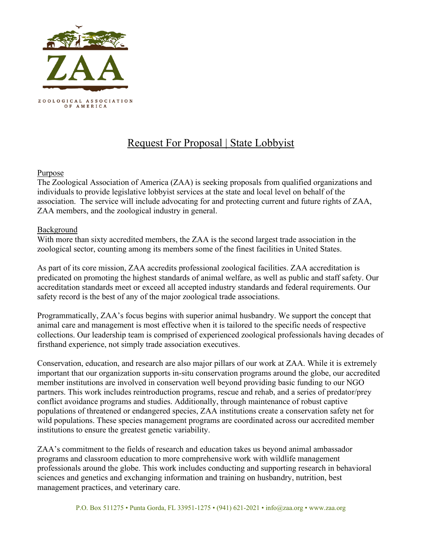

# Request For Proposal | State Lobbyist

## Purpose

The Zoological Association of America (ZAA) is seeking proposals from qualified organizations and individuals to provide legislative lobbyist services at the state and local level on behalf of the association. The service will include advocating for and protecting current and future rights of ZAA, ZAA members, and the zoological industry in general.

## Background

With more than sixty accredited members, the ZAA is the second largest trade association in the zoological sector, counting among its members some of the finest facilities in United States.

As part of its core mission, ZAA accredits professional zoological facilities. ZAA accreditation is predicated on promoting the highest standards of animal welfare, as well as public and staff safety. Our accreditation standards meet or exceed all accepted industry standards and federal requirements. Our safety record is the best of any of the major zoological trade associations.

Programmatically, ZAA's focus begins with superior animal husbandry. We support the concept that animal care and management is most effective when it is tailored to the specific needs of respective collections. Our leadership team is comprised of experienced zoological professionals having decades of firsthand experience, not simply trade association executives.

Conservation, education, and research are also major pillars of our work at ZAA. While it is extremely important that our organization supports in-situ conservation programs around the globe, our accredited member institutions are involved in conservation well beyond providing basic funding to our NGO partners. This work includes reintroduction programs, rescue and rehab, and a series of predator/prey conflict avoidance programs and studies. Additionally, through maintenance of robust captive populations of threatened or endangered species, ZAA institutions create a conservation safety net for wild populations. These species management programs are coordinated across our accredited member institutions to ensure the greatest genetic variability.

ZAA's commitment to the fields of research and education takes us beyond animal ambassador programs and classroom education to more comprehensive work with wildlife management professionals around the globe. This work includes conducting and supporting research in behavioral sciences and genetics and exchanging information and training on husbandry, nutrition, best management practices, and veterinary care.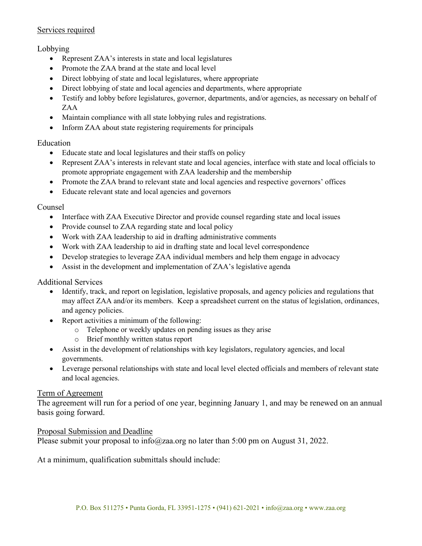## Services required

## Lobbying

- Represent ZAA's interests in state and local legislatures
- Promote the ZAA brand at the state and local level
- Direct lobbying of state and local legislatures, where appropriate
- Direct lobbying of state and local agencies and departments, where appropriate
- Testify and lobby before legislatures, governor, departments, and/or agencies, as necessary on behalf of ZAA
- Maintain compliance with all state lobbying rules and registrations.
- Inform ZAA about state registering requirements for principals

## Education

- Educate state and local legislatures and their staffs on policy
- Represent ZAA's interests in relevant state and local agencies, interface with state and local officials to promote appropriate engagement with ZAA leadership and the membership
- Promote the ZAA brand to relevant state and local agencies and respective governors' offices
- Educate relevant state and local agencies and governors

## Counsel

- Interface with ZAA Executive Director and provide counsel regarding state and local issues
- Provide counsel to ZAA regarding state and local policy
- Work with ZAA leadership to aid in drafting administrative comments
- Work with ZAA leadership to aid in drafting state and local level correspondence
- Develop strategies to leverage ZAA individual members and help them engage in advocacy
- Assist in the development and implementation of ZAA's legislative agenda

#### Additional Services

- Identify, track, and report on legislation, legislative proposals, and agency policies and regulations that may affect ZAA and/or its members. Keep a spreadsheet current on the status of legislation, ordinances, and agency policies.
- Report activities a minimum of the following:
	- o Telephone or weekly updates on pending issues as they arise
	- o Brief monthly written status report
- Assist in the development of relationships with key legislators, regulatory agencies, and local governments.
- Leverage personal relationships with state and local level elected officials and members of relevant state and local agencies.

#### Term of Agreement

The agreement will run for a period of one year, beginning January 1, and may be renewed on an annual basis going forward.

#### Proposal Submission and Deadline

Please submit your proposal to info@zaa.org no later than 5:00 pm on August 31, 2022.

At a minimum, qualification submittals should include: